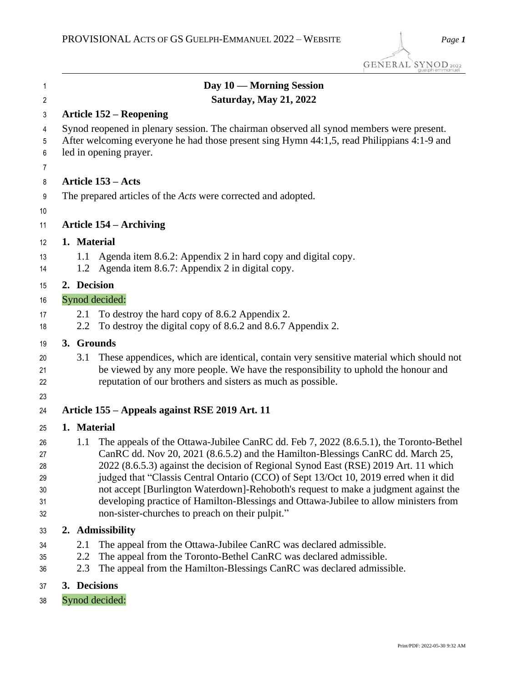| $\mathbf{1}$                           |                   | Day 10 — Morning Session                                                                                                                                                                                                                                                                                                                                                                                                                                                                                                                                                                  |
|----------------------------------------|-------------------|-------------------------------------------------------------------------------------------------------------------------------------------------------------------------------------------------------------------------------------------------------------------------------------------------------------------------------------------------------------------------------------------------------------------------------------------------------------------------------------------------------------------------------------------------------------------------------------------|
| $\sqrt{2}$                             |                   | <b>Saturday, May 21, 2022</b>                                                                                                                                                                                                                                                                                                                                                                                                                                                                                                                                                             |
| 3                                      |                   | <b>Article 152 – Reopening</b>                                                                                                                                                                                                                                                                                                                                                                                                                                                                                                                                                            |
| 4<br>5<br>6                            |                   | Synod reopened in plenary session. The chairman observed all synod members were present.<br>After welcoming everyone he had those present sing Hymn 44:1,5, read Philippians 4:1-9 and<br>led in opening prayer.                                                                                                                                                                                                                                                                                                                                                                          |
| $\overline{7}$                         |                   |                                                                                                                                                                                                                                                                                                                                                                                                                                                                                                                                                                                           |
| 8                                      |                   | <b>Article 153 – Acts</b>                                                                                                                                                                                                                                                                                                                                                                                                                                                                                                                                                                 |
| 9<br>10                                |                   | The prepared articles of the <i>Acts</i> were corrected and adopted.                                                                                                                                                                                                                                                                                                                                                                                                                                                                                                                      |
| 11                                     |                   | <b>Article 154 – Archiving</b>                                                                                                                                                                                                                                                                                                                                                                                                                                                                                                                                                            |
| 12                                     | 1. Material       |                                                                                                                                                                                                                                                                                                                                                                                                                                                                                                                                                                                           |
| 13<br>14                               |                   | 1.1 Agenda item 8.6.2: Appendix 2 in hard copy and digital copy.<br>1.2 Agenda item 8.6.7: Appendix 2 in digital copy.                                                                                                                                                                                                                                                                                                                                                                                                                                                                    |
| 15                                     | 2. Decision       |                                                                                                                                                                                                                                                                                                                                                                                                                                                                                                                                                                                           |
| 16                                     |                   | Synod decided:                                                                                                                                                                                                                                                                                                                                                                                                                                                                                                                                                                            |
| 17<br>18                               | 2.1<br>2.2        | To destroy the hard copy of 8.6.2 Appendix 2.<br>To destroy the digital copy of 8.6.2 and 8.6.7 Appendix 2.                                                                                                                                                                                                                                                                                                                                                                                                                                                                               |
| 19                                     |                   | 3. Grounds                                                                                                                                                                                                                                                                                                                                                                                                                                                                                                                                                                                |
| 20<br>21<br>22<br>23                   | 3.1               | These appendices, which are identical, contain very sensitive material which should not<br>be viewed by any more people. We have the responsibility to uphold the honour and<br>reputation of our brothers and sisters as much as possible.                                                                                                                                                                                                                                                                                                                                               |
| 24                                     |                   | Article 155 – Appeals against RSE 2019 Art. 11                                                                                                                                                                                                                                                                                                                                                                                                                                                                                                                                            |
| 25                                     | 1. Material       |                                                                                                                                                                                                                                                                                                                                                                                                                                                                                                                                                                                           |
| 26<br>27<br>28<br>29<br>30<br>31<br>32 | 1.1               | The appeals of the Ottawa-Jubilee CanRC dd. Feb 7, 2022 (8.6.5.1), the Toronto-Bethel<br>CanRC dd. Nov 20, 2021 (8.6.5.2) and the Hamilton-Blessings CanRC dd. March 25,<br>2022 (8.6.5.3) against the decision of Regional Synod East (RSE) 2019 Art. 11 which<br>judged that "Classis Central Ontario (CCO) of Sept 13/Oct 10, 2019 erred when it did<br>not accept [Burlington Waterdown]-Rehoboth's request to make a judgment against the<br>developing practice of Hamilton-Blessings and Ottawa-Jubilee to allow ministers from<br>non-sister-churches to preach on their pulpit." |
| 33                                     |                   | 2. Admissibility                                                                                                                                                                                                                                                                                                                                                                                                                                                                                                                                                                          |
| 34<br>35<br>36                         | 2.1<br>2.2<br>2.3 | The appeal from the Ottawa-Jubilee CanRC was declared admissible.<br>The appeal from the Toronto-Bethel CanRC was declared admissible.<br>The appeal from the Hamilton-Blessings CanRC was declared admissible.                                                                                                                                                                                                                                                                                                                                                                           |
| 37                                     |                   | 3. Decisions                                                                                                                                                                                                                                                                                                                                                                                                                                                                                                                                                                              |

Synod decided: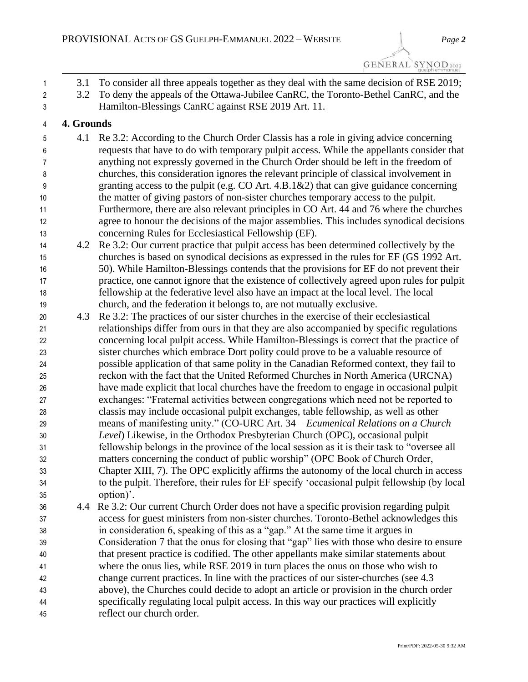GENERAL SYNOD 2022

 3.1 To consider all three appeals together as they deal with the same decision of RSE 2019; 2 3.2 To deny the appeals of the Ottawa-Jubilee CanRC, the Toronto-Bethel CanRC, and the Hamilton-Blessings CanRC against RSE 2019 Art. 11. **4. Grounds** 4.1 Re 3.2: According to the Church Order Classis has a role in giving advice concerning requests that have to do with temporary pulpit access. While the appellants consider that anything not expressly governed in the Church Order should be left in the freedom of churches, this consideration ignores the relevant principle of classical involvement in granting access to the pulpit (e.g. CO Art. 4.B.1&2) that can give guidance concerning the matter of giving pastors of non-sister churches temporary access to the pulpit. Furthermore, there are also relevant principles in CO Art. 44 and 76 where the churches agree to honour the decisions of the major assemblies. This includes synodical decisions concerning Rules for Ecclesiastical Fellowship (EF). 4.2 Re 3.2: Our current practice that pulpit access has been determined collectively by the churches is based on synodical decisions as expressed in the rules for EF (GS 1992 Art. 50). While Hamilton-Blessings contends that the provisions for EF do not prevent their practice, one cannot ignore that the existence of collectively agreed upon rules for pulpit fellowship at the federative level also have an impact at the local level. The local church, and the federation it belongs to, are not mutually exclusive. 4.3 Re 3.2: The practices of our sister churches in the exercise of their ecclesiastical relationships differ from ours in that they are also accompanied by specific regulations concerning local pulpit access. While Hamilton-Blessings is correct that the practice of sister churches which embrace Dort polity could prove to be a valuable resource of possible application of that same polity in the Canadian Reformed context, they fail to reckon with the fact that the United Reformed Churches in North America (URCNA) have made explicit that local churches have the freedom to engage in occasional pulpit exchanges: "Fraternal activities between congregations which need not be reported to classis may include occasional pulpit exchanges, table fellowship, as well as other means of manifesting unity." (CO-URC Art. 34 – *Ecumenical Relations on a Church Level*) Likewise, in the Orthodox Presbyterian Church (OPC), occasional pulpit fellowship belongs in the province of the local session as it is their task to "oversee all matters concerning the conduct of public worship" (OPC Book of Church Order, Chapter XIII, 7). The OPC explicitly affirms the autonomy of the local church in access to the pulpit. Therefore, their rules for EF specify 'occasional pulpit fellowship (by local option)'. 4.4 Re 3.2: Our current Church Order does not have a specific provision regarding pulpit access for guest ministers from non-sister churches. Toronto-Bethel acknowledges this in consideration 6, speaking of this as a "gap." At the same time it argues in Consideration 7 that the onus for closing that "gap" lies with those who desire to ensure that present practice is codified. The other appellants make similar statements about where the onus lies, while RSE 2019 in turn places the onus on those who wish to change current practices. In line with the practices of our sister-churches (see 4.3 above), the Churches could decide to adopt an article or provision in the church order specifically regulating local pulpit access. In this way our practices will explicitly reflect our church order.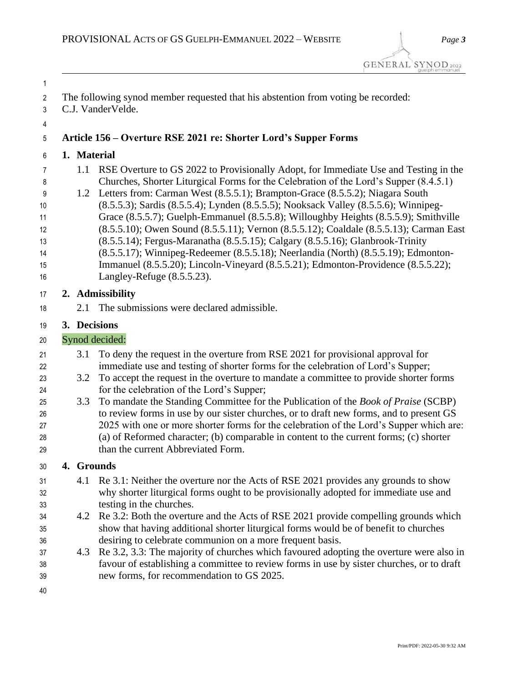- C.J. VanderVelde.
- 

# **Article 156 – Overture RSE 2021 re: Shorter Lord's Supper Forms**

- **1. Material**
- 1.1 RSE Overture to GS 2022 to Provisionally Adopt, for Immediate Use and Testing in the Churches, Shorter Liturgical Forms for the Celebration of the Lord's Supper (8.4.5.1)
- 1.2 Letters from: Carman West (8.5.5.1); Brampton-Grace (8.5.5.2); Niagara South (8.5.5.3); Sardis (8.5.5.4); Lynden (8.5.5.5); Nooksack Valley (8.5.5.6); Winnipeg- Grace (8.5.5.7); Guelph-Emmanuel (8.5.5.8); Willoughby Heights (8.5.5.9); Smithville (8.5.5.10); Owen Sound (8.5.5.11); Vernon (8.5.5.12); Coaldale (8.5.5.13); Carman East (8.5.5.14); Fergus-Maranatha (8.5.5.15); Calgary (8.5.5.16); Glanbrook-Trinity (8.5.5.17); Winnipeg-Redeemer (8.5.5.18); Neerlandia (North) (8.5.5.19); Edmonton- Immanuel (8.5.5.20); Lincoln-Vineyard (8.5.5.21); Edmonton-Providence (8.5.5.22); Langley-Refuge (8.5.5.23).

## **2. Admissibility**

2.1 The submissions were declared admissible.

### **3. Decisions**

## Synod decided:

- 3.1 To deny the request in the overture from RSE 2021 for provisional approval for immediate use and testing of shorter forms for the celebration of Lord's Supper;
- 3.2 To accept the request in the overture to mandate a committee to provide shorter forms for the celebration of the Lord's Supper;
- 3.3 To mandate the Standing Committee for the Publication of the *Book of Praise* (SCBP) to review forms in use by our sister churches, or to draft new forms, and to present GS 2025 with one or more shorter forms for the celebration of the Lord's Supper which are: (a) of Reformed character; (b) comparable in content to the current forms; (c) shorter 29 than the current Abbreviated Form.

### **4. Grounds**

- 4.1 Re 3.1: Neither the overture nor the Acts of RSE 2021 provides any grounds to show why shorter liturgical forms ought to be provisionally adopted for immediate use and testing in the churches.
- 4.2 Re 3.2: Both the overture and the Acts of RSE 2021 provide compelling grounds which show that having additional shorter liturgical forms would be of benefit to churches desiring to celebrate communion on a more frequent basis.
- 4.3 Re 3.2, 3.3: The majority of churches which favoured adopting the overture were also in favour of establishing a committee to review forms in use by sister churches, or to draft new forms, for recommendation to GS 2025.
-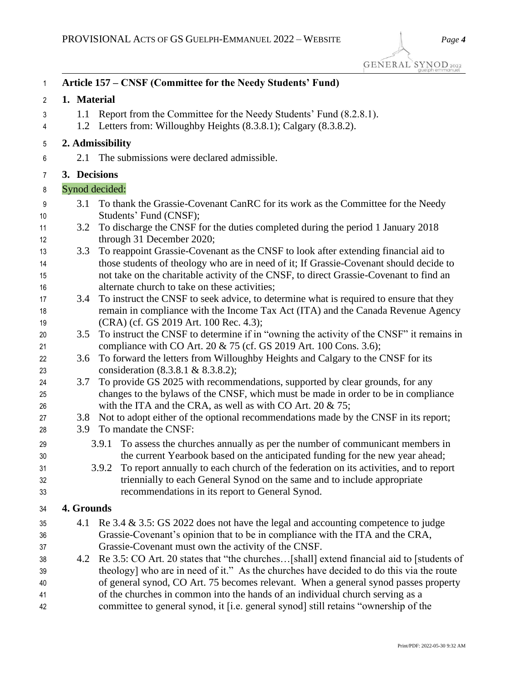| 1                          |                         | Article 157 – CNSF (Committee for the Needy Students' Fund)                                                                                                                                                                                                                                                                                                                                        |
|----------------------------|-------------------------|----------------------------------------------------------------------------------------------------------------------------------------------------------------------------------------------------------------------------------------------------------------------------------------------------------------------------------------------------------------------------------------------------|
| 2                          | 1. Material             |                                                                                                                                                                                                                                                                                                                                                                                                    |
| 3<br>4                     | 1.1                     | Report from the Committee for the Needy Students' Fund (8.2.8.1).<br>1.2 Letters from: Willoughby Heights (8.3.8.1); Calgary (8.3.8.2).                                                                                                                                                                                                                                                            |
| 5                          |                         | 2. Admissibility                                                                                                                                                                                                                                                                                                                                                                                   |
| 6                          | 2.1                     | The submissions were declared admissible.                                                                                                                                                                                                                                                                                                                                                          |
| 7                          | 3. Decisions            |                                                                                                                                                                                                                                                                                                                                                                                                    |
| 8                          |                         | Synod decided:                                                                                                                                                                                                                                                                                                                                                                                     |
| 9<br>10                    | 3.1                     | To thank the Grassie-Covenant CanRC for its work as the Committee for the Needy<br>Students' Fund (CNSF);                                                                                                                                                                                                                                                                                          |
| 11<br>12                   | 3.2                     | To discharge the CNSF for the duties completed during the period 1 January 2018<br>through 31 December 2020;                                                                                                                                                                                                                                                                                       |
| 13<br>14<br>15<br>16       | 3.3                     | To reappoint Grassie-Covenant as the CNSF to look after extending financial aid to<br>those students of theology who are in need of it; If Grassie-Covenant should decide to<br>not take on the charitable activity of the CNSF, to direct Grassie-Covenant to find an<br>alternate church to take on these activities;                                                                            |
| 17<br>18<br>19             | 3.4                     | To instruct the CNSF to seek advice, to determine what is required to ensure that they<br>remain in compliance with the Income Tax Act (ITA) and the Canada Revenue Agency<br>(CRA) (cf. GS 2019 Art. 100 Rec. 4.3);                                                                                                                                                                               |
| 20<br>21                   | 3.5                     | To instruct the CNSF to determine if in "owning the activity of the CNSF" it remains in<br>compliance with CO Art. 20 & 75 (cf. GS 2019 Art. 100 Cons. 3.6);                                                                                                                                                                                                                                       |
| 22<br>23                   | 3.6                     | To forward the letters from Willoughby Heights and Calgary to the CNSF for its<br>consideration (8.3.8.1 & 8.3.8.2);                                                                                                                                                                                                                                                                               |
| 24<br>25<br>26             | 3.7                     | To provide GS 2025 with recommendations, supported by clear grounds, for any<br>changes to the bylaws of the CNSF, which must be made in order to be in compliance<br>with the ITA and the CRA, as well as with CO Art. $20 \& 75$ ;                                                                                                                                                               |
| 27<br>28                   | 3.8<br>3.9 <sup>°</sup> | Not to adopt either of the optional recommendations made by the CNSF in its report;<br>To mandate the CNSF:                                                                                                                                                                                                                                                                                        |
| 29<br>30<br>31<br>32<br>33 |                         | To assess the churches annually as per the number of communicant members in<br>3.9.1<br>the current Yearbook based on the anticipated funding for the new year ahead;<br>3.9.2 To report annually to each church of the federation on its activities, and to report<br>triennially to each General Synod on the same and to include appropriate<br>recommendations in its report to General Synod. |
| 34                         | 4. Grounds              |                                                                                                                                                                                                                                                                                                                                                                                                    |
| 35<br>36<br>37             | 4.1                     | Re $3.4 \& 3.5$ : GS 2022 does not have the legal and accounting competence to judge<br>Grassie-Covenant's opinion that to be in compliance with the ITA and the CRA,<br>Grassie-Covenant must own the activity of the CNSF.                                                                                                                                                                       |
| 38<br>39<br>40<br>41       | 4.2                     | Re 3.5: CO Art. 20 states that "the churches[shall] extend financial aid to [students of<br>theology] who are in need of it." As the churches have decided to do this via the route<br>of general synod, CO Art. 75 becomes relevant. When a general synod passes property<br>of the churches in common into the hands of an individual church serving as a                                        |
| 42                         |                         | committee to general synod, it [i.e. general synod] still retains "ownership of the                                                                                                                                                                                                                                                                                                                |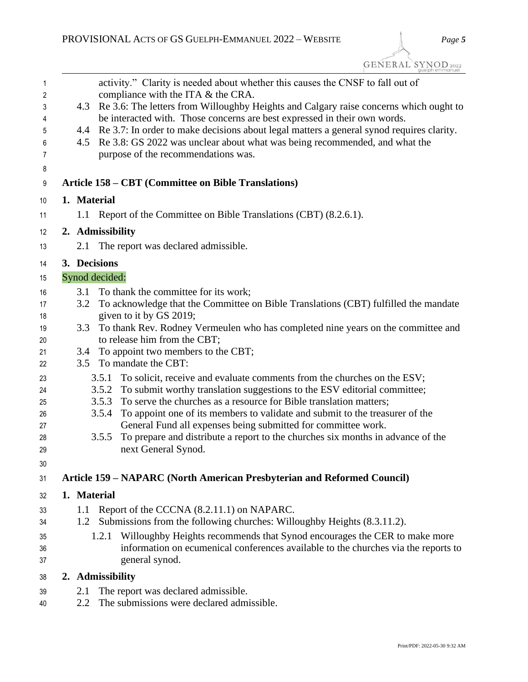GENERAL SYNOD 2022

| $\mathbf{1}$ |     | activity." Clarity is needed about whether this causes the CNSF to fall out of                                                                                     |
|--------------|-----|--------------------------------------------------------------------------------------------------------------------------------------------------------------------|
| 2            |     | compliance with the ITA & the CRA.                                                                                                                                 |
| 3<br>4       | 4.3 | Re 3.6: The letters from Willoughby Heights and Calgary raise concerns which ought to<br>be interacted with. Those concerns are best expressed in their own words. |
| 5            | 4.4 | Re 3.7: In order to make decisions about legal matters a general synod requires clarity.                                                                           |
| 6            | 4.5 | Re 3.8: GS 2022 was unclear about what was being recommended, and what the                                                                                         |
| 7            |     | purpose of the recommendations was.                                                                                                                                |
| 8            |     |                                                                                                                                                                    |
| 9            |     | <b>Article 158 – CBT (Committee on Bible Translations)</b>                                                                                                         |
| 10           |     | 1. Material                                                                                                                                                        |
| 11           |     | 1.1 Report of the Committee on Bible Translations (CBT) (8.2.6.1).                                                                                                 |
| 12           |     | 2. Admissibility                                                                                                                                                   |
| 13           | 2.1 | The report was declared admissible.                                                                                                                                |
| 14           |     | 3. Decisions                                                                                                                                                       |
| 15           |     | Synod decided:                                                                                                                                                     |
| 16           | 3.1 | To thank the committee for its work;                                                                                                                               |
| 17           | 3.2 | To acknowledge that the Committee on Bible Translations (CBT) fulfilled the mandate                                                                                |
| 18           |     | given to it by GS 2019;                                                                                                                                            |
| 19           | 3.3 | To thank Rev. Rodney Vermeulen who has completed nine years on the committee and                                                                                   |
| 20           |     | to release him from the CBT;                                                                                                                                       |
| 21<br>22     | 3.4 | To appoint two members to the CBT;<br>3.5 To mandate the CBT:                                                                                                      |
|              |     | To solicit, receive and evaluate comments from the churches on the ESV;<br>3.5.1                                                                                   |
| 23<br>24     |     | To submit worthy translation suggestions to the ESV editorial committee;<br>3.5.2                                                                                  |
| 25           |     | To serve the churches as a resource for Bible translation matters;<br>3.5.3                                                                                        |
| 26           |     | 3.5.4<br>To appoint one of its members to validate and submit to the treasurer of the                                                                              |
| 27           |     | General Fund all expenses being submitted for committee work.                                                                                                      |
| 28           |     | To prepare and distribute a report to the churches six months in advance of the<br>3.5.5                                                                           |
| 29           |     | next General Synod.                                                                                                                                                |
| 30           |     |                                                                                                                                                                    |
| 31           |     | Article 159 – NAPARC (North American Presbyterian and Reformed Council)                                                                                            |
| 32           |     | 1. Material                                                                                                                                                        |
| 33           | 1.1 | Report of the CCCNA (8.2.11.1) on NAPARC.                                                                                                                          |
| 34           | 1.2 | Submissions from the following churches: Willoughby Heights (8.3.11.2).                                                                                            |
| 35           |     | Willoughby Heights recommends that Synod encourages the CER to make more<br>1.2.1                                                                                  |
| 36           |     | information on ecumenical conferences available to the churches via the reports to                                                                                 |
| 37           |     | general synod.                                                                                                                                                     |
| 38           |     | 2. Admissibility                                                                                                                                                   |
| 39           | 2.1 | The report was declared admissible.                                                                                                                                |

2.2 The submissions were declared admissible.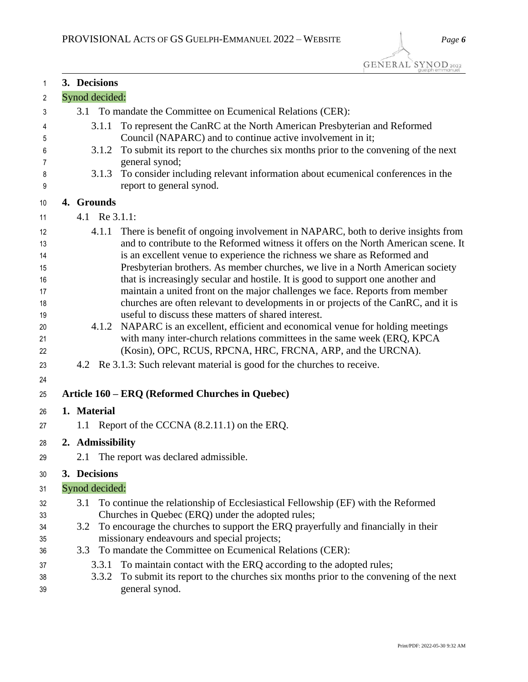| 1        | 3. Decisions     |                                                                                                                                           |
|----------|------------------|-------------------------------------------------------------------------------------------------------------------------------------------|
| 2        | Synod decided:   |                                                                                                                                           |
| 3        |                  | 3.1 To mandate the Committee on Ecumenical Relations (CER):                                                                               |
| 4<br>5   | 3.1.1            | To represent the CanRC at the North American Presbyterian and Reformed<br>Council (NAPARC) and to continue active involvement in it;      |
| 6        | 3.1.2            | To submit its report to the churches six months prior to the convening of the next                                                        |
| 7        |                  | general synod;                                                                                                                            |
| 8        | 3.1.3            | To consider including relevant information about ecumenical conferences in the                                                            |
| 9        |                  | report to general synod.                                                                                                                  |
| 10       | 4. Grounds       |                                                                                                                                           |
| 11       | 4.1 Re 3.1.1:    |                                                                                                                                           |
| 12       | 4.1.1            | There is benefit of ongoing involvement in NAPARC, both to derive insights from                                                           |
| 13       |                  | and to contribute to the Reformed witness it offers on the North American scene. It                                                       |
| 14       |                  | is an excellent venue to experience the richness we share as Reformed and                                                                 |
| 15       |                  | Presbyterian brothers. As member churches, we live in a North American society                                                            |
| 16       |                  | that is increasingly secular and hostile. It is good to support one another and                                                           |
| 17       |                  | maintain a united front on the major challenges we face. Reports from member                                                              |
| 18       |                  | churches are often relevant to developments in or projects of the CanRC, and it is<br>useful to discuss these matters of shared interest. |
| 19<br>20 |                  | 4.1.2 NAPARC is an excellent, efficient and economical venue for holding meetings                                                         |
| 21       |                  | with many inter-church relations committees in the same week (ERQ, KPCA)                                                                  |
| 22       |                  | (Kosin), OPC, RCUS, RPCNA, HRC, FRCNA, ARP, and the URCNA).                                                                               |
| 23       |                  | 4.2 Re 3.1.3: Such relevant material is good for the churches to receive.                                                                 |
| 24       |                  |                                                                                                                                           |
| 25       |                  | Article 160 - ERQ (Reformed Churches in Quebec)                                                                                           |
| 26       | 1. Material      |                                                                                                                                           |
| 27       |                  | 1.1 Report of the CCCNA (8.2.11.1) on the ERQ.                                                                                            |
| 28       | 2. Admissibility |                                                                                                                                           |
| 29       | 2.1              | The report was declared admissible.                                                                                                       |
| 30       | 3. Decisions     |                                                                                                                                           |
| 31       | Synod decided:   |                                                                                                                                           |
| 32       | 3.1              | To continue the relationship of Ecclesiastical Fellowship (EF) with the Reformed                                                          |
| 33       |                  | Churches in Quebec (ERQ) under the adopted rules;                                                                                         |
| 34       | 3.2              | To encourage the churches to support the ERQ prayerfully and financially in their                                                         |
| 35       |                  | missionary endeavours and special projects;                                                                                               |
| 36       | 3.3              | To mandate the Committee on Ecumenical Relations (CER):                                                                                   |
| 37       | 3.3.1            | To maintain contact with the ERQ according to the adopted rules;                                                                          |
| 38       | 3.3.2            | To submit its report to the churches six months prior to the convening of the next                                                        |
| 39       |                  | general synod.                                                                                                                            |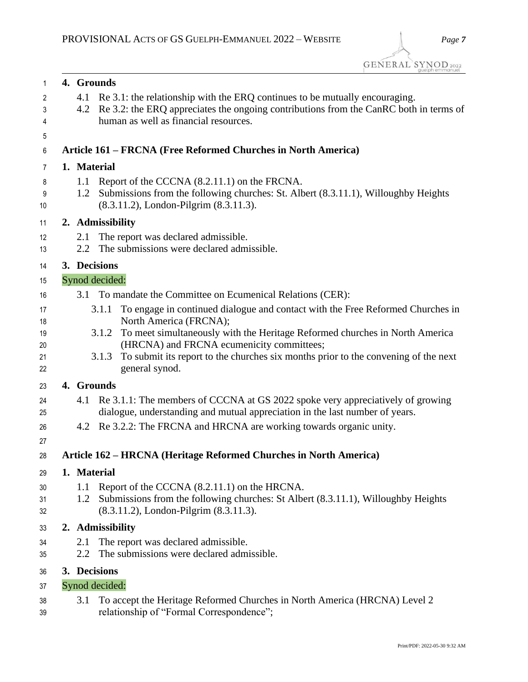| $\mathbf{1}$ | 4. Grounds                                                                                                                               |
|--------------|------------------------------------------------------------------------------------------------------------------------------------------|
| 2            | Re 3.1: the relationship with the ERQ continues to be mutually encouraging.<br>4.1                                                       |
| 3            | Re 3.2: the ERQ appreciates the ongoing contributions from the CanRC both in terms of<br>4.2                                             |
| 4            | human as well as financial resources.                                                                                                    |
| 5            |                                                                                                                                          |
| 6            | Article 161 – FRCNA (Free Reformed Churches in North America)                                                                            |
| 7            | 1. Material                                                                                                                              |
| 8            | Report of the CCCNA (8.2.11.1) on the FRCNA.<br>1.1                                                                                      |
| 9<br>10      | Submissions from the following churches: St. Albert (8.3.11.1), Willoughby Heights<br>1.2<br>(8.3.11.2), London-Pilgrim (8.3.11.3).      |
| 11           | 2. Admissibility                                                                                                                         |
| 12           | The report was declared admissible.<br>2.1                                                                                               |
| 13           | The submissions were declared admissible.<br>2.2                                                                                         |
| 14           | 3. Decisions                                                                                                                             |
| 15           | Synod decided:                                                                                                                           |
| 16           | 3.1 To mandate the Committee on Ecumenical Relations (CER):                                                                              |
| 17           | To engage in continued dialogue and contact with the Free Reformed Churches in<br>3.1.1                                                  |
| 18           | North America (FRCNA);                                                                                                                   |
| 19           | To meet simultaneously with the Heritage Reformed churches in North America<br>3.1.2                                                     |
| 20<br>21     | (HRCNA) and FRCNA ecumenicity committees;<br>To submit its report to the churches six months prior to the convening of the next<br>3.1.3 |
| 22           | general synod.                                                                                                                           |
| 23           | 4. Grounds                                                                                                                               |
| 24           | Re 3.1.1: The members of CCCNA at GS 2022 spoke very appreciatively of growing<br>4.1                                                    |
| 25           | dialogue, understanding and mutual appreciation in the last number of years.                                                             |
| 26           | 4.2 Re 3.2.2: The FRCNA and HRCNA are working towards organic unity.                                                                     |
| 27           |                                                                                                                                          |
| 28           | Article 162 – HRCNA (Heritage Reformed Churches in North America)                                                                        |
| 29           | 1. Material                                                                                                                              |
| 30           | 1.1<br>Report of the CCCNA (8.2.11.1) on the HRCNA.                                                                                      |
| 31           | Submissions from the following churches: St Albert (8.3.11.1), Willoughby Heights<br>1.2                                                 |
| 32           | (8.3.11.2), London-Pilgrim (8.3.11.3).                                                                                                   |
| 33           | 2. Admissibility                                                                                                                         |
| 34           | The report was declared admissible.<br>2.1                                                                                               |
| 35           | The submissions were declared admissible.<br>2.2                                                                                         |
| 36           | 3. Decisions                                                                                                                             |
| 37           | Synod decided:                                                                                                                           |
| 38<br>39     | To accept the Heritage Reformed Churches in North America (HRCNA) Level 2<br>3.1<br>relationship of "Formal Correspondence";             |
|              |                                                                                                                                          |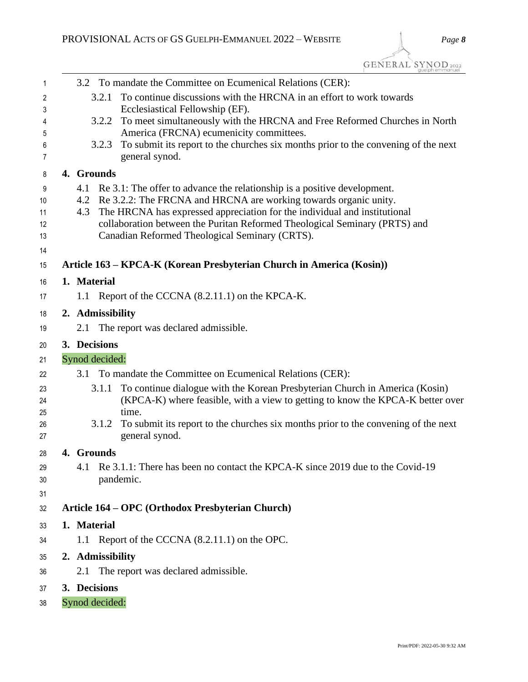| 1        |             | 3.2 To mandate the Committee on Ecumenical Relations (CER):                                                                            |
|----------|-------------|----------------------------------------------------------------------------------------------------------------------------------------|
| 2        |             | To continue discussions with the HRCNA in an effort to work towards<br>3.2.1                                                           |
| 3        |             | Ecclesiastical Fellowship (EF).                                                                                                        |
| 4        |             | To meet simultaneously with the HRCNA and Free Reformed Churches in North<br>3.2.2                                                     |
| 5<br>6   |             | America (FRCNA) ecumenicity committees.<br>To submit its report to the churches six months prior to the convening of the next<br>3.2.3 |
| 7        |             | general synod.                                                                                                                         |
| 8        | 4. Grounds  |                                                                                                                                        |
| 9        |             | 4.1 Re 3.1: The offer to advance the relationship is a positive development.                                                           |
| 10       |             | 4.2 Re 3.2.2: The FRCNA and HRCNA are working towards organic unity.                                                                   |
| 11       | 4.3         | The HRCNA has expressed appreciation for the individual and institutional                                                              |
| 12       |             | collaboration between the Puritan Reformed Theological Seminary (PRTS) and                                                             |
| 13       |             | Canadian Reformed Theological Seminary (CRTS).                                                                                         |
| 14<br>15 |             | Article 163 – KPCA-K (Korean Presbyterian Church in America (Kosin))                                                                   |
|          | 1. Material |                                                                                                                                        |
| 16       |             |                                                                                                                                        |
| 17       | 1.1         | Report of the CCCNA (8.2.11.1) on the KPCA-K.                                                                                          |
| 18       |             | 2. Admissibility                                                                                                                       |
| 19       | 2.1         | The report was declared admissible.                                                                                                    |
| 20       |             | 3. Decisions                                                                                                                           |
| 21       |             | Synod decided:                                                                                                                         |
| 22       | 3.1         | To mandate the Committee on Ecumenical Relations (CER):                                                                                |
| 23       |             | To continue dialogue with the Korean Presbyterian Church in America (Kosin)<br>3.1.1                                                   |
| 24       |             | (KPCA-K) where feasible, with a view to getting to know the KPCA-K better over                                                         |
| 25       |             | time.                                                                                                                                  |
| 26<br>27 |             | To submit its report to the churches six months prior to the convening of the next<br>3.1.2<br>general synod.                          |
|          | 4. Grounds  |                                                                                                                                        |
| 28       | 4.1         | Re 3.1.1: There has been no contact the KPCA-K since 2019 due to the Covid-19                                                          |
| 29<br>30 |             | pandemic.                                                                                                                              |
| 31       |             |                                                                                                                                        |
| 32       |             | Article 164 – OPC (Orthodox Presbyterian Church)                                                                                       |
| 33       | 1. Material |                                                                                                                                        |
| 34       |             | 1.1 Report of the CCCNA (8.2.11.1) on the OPC.                                                                                         |
| 35       |             | 2. Admissibility                                                                                                                       |
| 36       |             | 2.1 The report was declared admissible.                                                                                                |
|          |             |                                                                                                                                        |
| 37       |             | 3. Decisions                                                                                                                           |
| 38       |             | Synod decided:                                                                                                                         |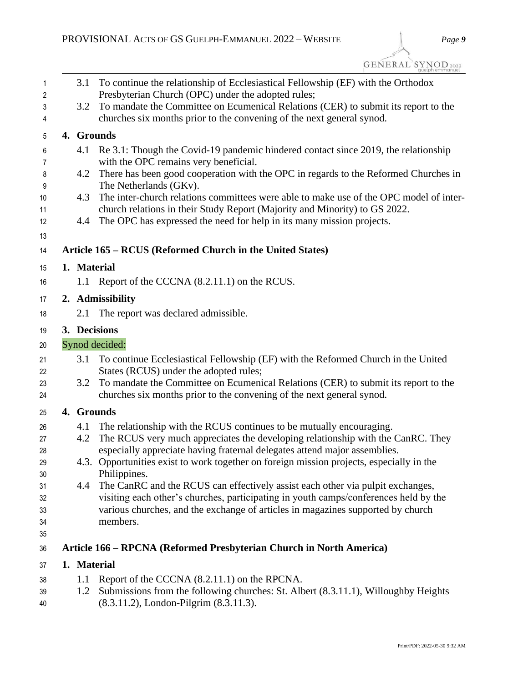| 1        | 3.1         | To continue the relationship of Ecclesiastical Fellowship (EF) with the Orthodox                                                                            |
|----------|-------------|-------------------------------------------------------------------------------------------------------------------------------------------------------------|
| 2        |             | Presbyterian Church (OPC) under the adopted rules;                                                                                                          |
| 3<br>4   | 3.2         | To mandate the Committee on Ecumenical Relations (CER) to submit its report to the<br>churches six months prior to the convening of the next general synod. |
| 5        |             | 4. Grounds                                                                                                                                                  |
| 6<br>7   | 4.1         | Re 3.1: Though the Covid-19 pandemic hindered contact since 2019, the relationship<br>with the OPC remains very beneficial.                                 |
| 8        | 4.2         | There has been good cooperation with the OPC in regards to the Reformed Churches in                                                                         |
| 9        |             | The Netherlands (GKv).                                                                                                                                      |
| 10       | 4.3         | The inter-church relations committees were able to make use of the OPC model of inter-                                                                      |
| 11       |             | church relations in their Study Report (Majority and Minority) to GS 2022.                                                                                  |
| 12       | 4.4         | The OPC has expressed the need for help in its many mission projects.                                                                                       |
| 13       |             |                                                                                                                                                             |
| 14       |             | Article 165 – RCUS (Reformed Church in the United States)                                                                                                   |
| 15       | 1. Material |                                                                                                                                                             |
| 16       | 1.1         | Report of the CCCNA (8.2.11.1) on the RCUS.                                                                                                                 |
| 17       |             | 2. Admissibility                                                                                                                                            |
| 18       | 2.1         | The report was declared admissible.                                                                                                                         |
| 19       |             | 3. Decisions                                                                                                                                                |
| 20       |             | Synod decided:                                                                                                                                              |
| 21       | 3.1         | To continue Ecclesiastical Fellowship (EF) with the Reformed Church in the United                                                                           |
| 22       |             | States (RCUS) under the adopted rules;                                                                                                                      |
| 23       | 3.2         | To mandate the Committee on Ecumenical Relations (CER) to submit its report to the                                                                          |
| 24       |             | churches six months prior to the convening of the next general synod.                                                                                       |
| 25       |             | 4. Grounds                                                                                                                                                  |
| 26       | 4.1         | The relationship with the RCUS continues to be mutually encouraging.                                                                                        |
| 27       | 4.2         | The RCUS very much appreciates the developing relationship with the CanRC. They                                                                             |
| 28       |             | especially appreciate having fraternal delegates attend major assemblies.                                                                                   |
| 29<br>30 |             | 4.3. Opportunities exist to work together on foreign mission projects, especially in the<br>Philippines.                                                    |
| 31       | 4.4         | The CanRC and the RCUS can effectively assist each other via pulpit exchanges,                                                                              |
| 32       |             | visiting each other's churches, participating in youth camps/conferences held by the                                                                        |
| 33       |             | various churches, and the exchange of articles in magazines supported by church                                                                             |
| 34       |             | members.                                                                                                                                                    |
| 35       |             |                                                                                                                                                             |
| 36       |             | Article 166 – RPCNA (Reformed Presbyterian Church in North America)                                                                                         |
| 37       | 1. Material |                                                                                                                                                             |
| 38       | 1.1         | Report of the CCCNA (8.2.11.1) on the RPCNA.                                                                                                                |
| 39       | 1.2         | Submissions from the following churches: St. Albert (8.3.11.1), Willoughby Heights                                                                          |

(8.3.11.2), London-Pilgrim (8.3.11.3).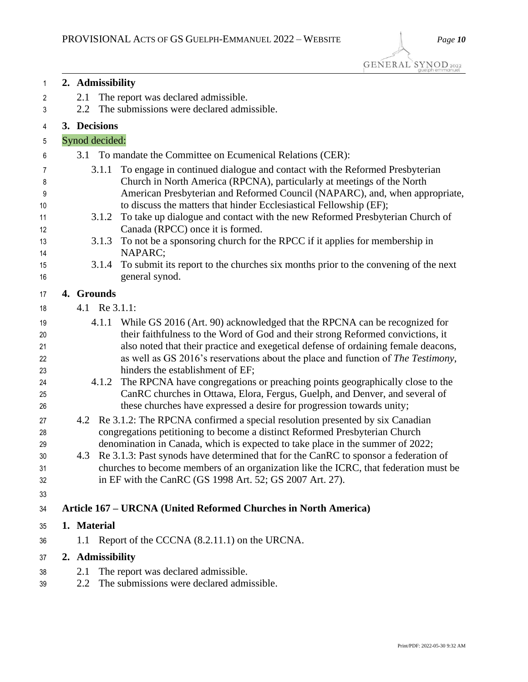|             | quelph emmanuel                                                                                                                                                                                                                                                                                                                                                                                                                                                                                                                                             |
|-------------|-------------------------------------------------------------------------------------------------------------------------------------------------------------------------------------------------------------------------------------------------------------------------------------------------------------------------------------------------------------------------------------------------------------------------------------------------------------------------------------------------------------------------------------------------------------|
|             | 2. Admissibility                                                                                                                                                                                                                                                                                                                                                                                                                                                                                                                                            |
| 2.1         | The report was declared admissible.                                                                                                                                                                                                                                                                                                                                                                                                                                                                                                                         |
| 2.2         | The submissions were declared admissible.                                                                                                                                                                                                                                                                                                                                                                                                                                                                                                                   |
|             | 3. Decisions                                                                                                                                                                                                                                                                                                                                                                                                                                                                                                                                                |
|             | Synod decided:                                                                                                                                                                                                                                                                                                                                                                                                                                                                                                                                              |
| 3.1         | To mandate the Committee on Ecumenical Relations (CER):                                                                                                                                                                                                                                                                                                                                                                                                                                                                                                     |
|             | To engage in continued dialogue and contact with the Reformed Presbyterian<br>3.1.1<br>Church in North America (RPCNA), particularly at meetings of the North<br>American Presbyterian and Reformed Council (NAPARC), and, when appropriate,<br>to discuss the matters that hinder Ecclesiastical Fellowship (EF);                                                                                                                                                                                                                                          |
|             | To take up dialogue and contact with the new Reformed Presbyterian Church of<br>3.1.2                                                                                                                                                                                                                                                                                                                                                                                                                                                                       |
|             | Canada (RPCC) once it is formed.<br>To not be a sponsoring church for the RPCC if it applies for membership in<br>3.1.3<br>NAPARC;                                                                                                                                                                                                                                                                                                                                                                                                                          |
|             | To submit its report to the churches six months prior to the convening of the next<br>3.1.4<br>general synod.                                                                                                                                                                                                                                                                                                                                                                                                                                               |
| 4. Grounds  |                                                                                                                                                                                                                                                                                                                                                                                                                                                                                                                                                             |
|             | 4.1 Re 3.1.1:                                                                                                                                                                                                                                                                                                                                                                                                                                                                                                                                               |
|             | While GS 2016 (Art. 90) acknowledged that the RPCNA can be recognized for<br>4.1.1<br>their faithfulness to the Word of God and their strong Reformed convictions, it<br>also noted that their practice and exegetical defense of ordaining female deacons,<br>as well as GS 2016's reservations about the place and function of The Testimony,<br>hinders the establishment of EF;<br>The RPCNA have congregations or preaching points geographically close to the<br>4.1.2<br>CanRC churches in Ottawa, Elora, Fergus, Guelph, and Denver, and several of |
|             | these churches have expressed a desire for progression towards unity;                                                                                                                                                                                                                                                                                                                                                                                                                                                                                       |
|             | 4.2 Re 3.1.2: The RPCNA confirmed a special resolution presented by six Canadian<br>congregations petitioning to become a distinct Reformed Presbyterian Church<br>denomination in Canada, which is expected to take place in the summer of 2022;<br>4.3 Re 3.1.3: Past synods have determined that for the CanRC to sponsor a federation of<br>churches to become members of an organization like the ICRC, that federation must be<br>in EF with the CanRC (GS 1998 Art. 52; GS 2007 Art. 27).                                                            |
|             | Article 167 – URCNA (United Reformed Churches in North America)                                                                                                                                                                                                                                                                                                                                                                                                                                                                                             |
| 1. Material |                                                                                                                                                                                                                                                                                                                                                                                                                                                                                                                                                             |
|             | 1.1 Report of the CCCNA (8.2.11.1) on the URCNA.                                                                                                                                                                                                                                                                                                                                                                                                                                                                                                            |
|             | 2. Admissibility                                                                                                                                                                                                                                                                                                                                                                                                                                                                                                                                            |
| 2.1         | The report was declared admissible.                                                                                                                                                                                                                                                                                                                                                                                                                                                                                                                         |
| 2.2         | The submissions were declared admissible.                                                                                                                                                                                                                                                                                                                                                                                                                                                                                                                   |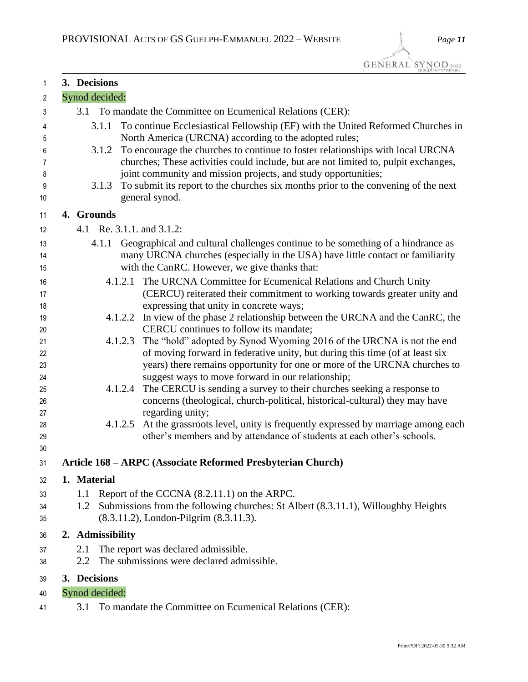| 1        | 3. Decisions   |                                                                                                                             |
|----------|----------------|-----------------------------------------------------------------------------------------------------------------------------|
| 2        | Synod decided: |                                                                                                                             |
| 3        |                | 3.1 To mandate the Committee on Ecumenical Relations (CER):                                                                 |
| 4        | 3.1.1          | To continue Ecclesiastical Fellowship (EF) with the United Reformed Churches in                                             |
| 5        |                | North America (URCNA) according to the adopted rules;                                                                       |
| 6        |                | 3.1.2 To encourage the churches to continue to foster relationships with local URCNA                                        |
| 7        |                | churches; These activities could include, but are not limited to, pulpit exchanges,                                         |
| 8        |                | joint community and mission projects, and study opportunities;                                                              |
| 9        | 3.1.3          | To submit its report to the churches six months prior to the convening of the next                                          |
| 10       |                | general synod.                                                                                                              |
| 11       | 4. Grounds     |                                                                                                                             |
| 12       |                | 4.1 Re. 3.1.1. and 3.1.2:                                                                                                   |
| 13       |                | 4.1.1 Geographical and cultural challenges continue to be something of a hindrance as                                       |
| 14       |                | many URCNA churches (especially in the USA) have little contact or familiarity                                              |
| 15       |                | with the CanRC. However, we give thanks that:                                                                               |
| 16       |                | The URCNA Committee for Ecumenical Relations and Church Unity<br>4.1.2.1                                                    |
| 17       |                | (CERCU) reiterated their commitment to working towards greater unity and                                                    |
| 18       |                | expressing that unity in concrete ways;                                                                                     |
| 19<br>20 |                | 4.1.2.2 In view of the phase 2 relationship between the URCNA and the CanRC, the<br>CERCU continues to follow its mandate;  |
| 21       |                | The "hold" adopted by Synod Wyoming 2016 of the URCNA is not the end<br>4.1.2.3                                             |
| 22       |                | of moving forward in federative unity, but during this time (of at least six                                                |
| 23       |                | years) there remains opportunity for one or more of the URCNA churches to                                                   |
| 24       |                | suggest ways to move forward in our relationship;                                                                           |
| 25       |                | The CERCU is sending a survey to their churches seeking a response to<br>4.1.2.4                                            |
| 26       |                | concerns (theological, church-political, historical-cultural) they may have                                                 |
| 27       |                | regarding unity;                                                                                                            |
| 28       |                | At the grassroots level, unity is frequently expressed by marriage among each<br>4.1.2.5                                    |
| 29<br>30 |                | other's members and by attendance of students at each other's schools.                                                      |
| 31       |                | Article 168 - ARPC (Associate Reformed Presbyterian Church)                                                                 |
|          |                |                                                                                                                             |
| 32       | 1. Material    |                                                                                                                             |
| 33       | 1.1            | Report of the CCCNA (8.2.11.1) on the ARPC.                                                                                 |
| 34<br>35 | 1.2            | Submissions from the following churches: St Albert (8.3.11.1), Willoughby Heights<br>(8.3.11.2), London-Pilgrim (8.3.11.3). |
|          |                |                                                                                                                             |
| 36       |                | 2. Admissibility                                                                                                            |
| 37       | 2.1            | The report was declared admissible.                                                                                         |
| 38       | 2.2            | The submissions were declared admissible.                                                                                   |
| 39       | 3. Decisions   |                                                                                                                             |

- Synod decided:
- 3.1 To mandate the Committee on Ecumenical Relations (CER):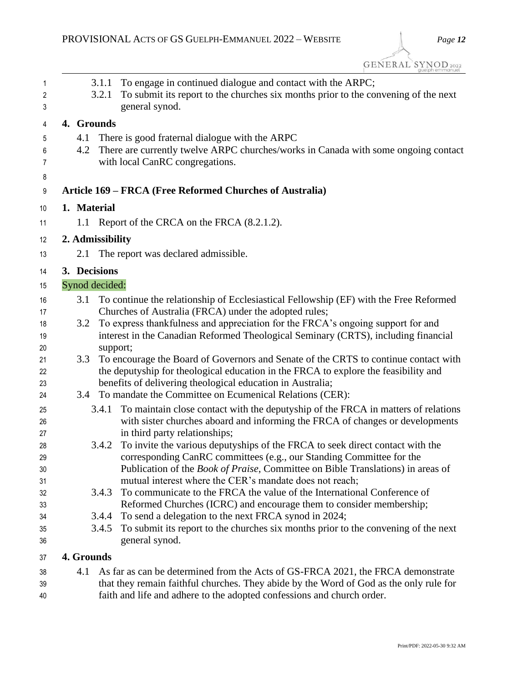| 1<br>2<br>3 | To engage in continued dialogue and contact with the ARPC;<br>3.1.1<br>To submit its report to the churches six months prior to the convening of the next<br>3.2.1<br>general synod. |
|-------------|--------------------------------------------------------------------------------------------------------------------------------------------------------------------------------------|
| 4           | 4. Grounds                                                                                                                                                                           |
| 5           | 4.1<br>There is good fraternal dialogue with the ARPC                                                                                                                                |
| 6           | There are currently twelve ARPC churches/works in Canada with some ongoing contact<br>4.2                                                                                            |
| 7           | with local CanRC congregations.                                                                                                                                                      |
| 8           |                                                                                                                                                                                      |
| 9           | Article 169 – FRCA (Free Reformed Churches of Australia)                                                                                                                             |
| 10          | 1. Material                                                                                                                                                                          |
| 11          | 1.1 Report of the CRCA on the FRCA (8.2.1.2).                                                                                                                                        |
| 12          | 2. Admissibility                                                                                                                                                                     |
| 13          | 2.1<br>The report was declared admissible.                                                                                                                                           |
| 14          | 3. Decisions                                                                                                                                                                         |
| 15          | Synod decided:                                                                                                                                                                       |
| 16          | To continue the relationship of Ecclesiastical Fellowship (EF) with the Free Reformed<br>3.1                                                                                         |
| 17          | Churches of Australia (FRCA) under the adopted rules;                                                                                                                                |
| 18          | To express thankfulness and appreciation for the FRCA's ongoing support for and<br>3.2                                                                                               |
| 19          | interest in the Canadian Reformed Theological Seminary (CRTS), including financial                                                                                                   |
| 20          | support;                                                                                                                                                                             |
| 21<br>22    | 3.3<br>To encourage the Board of Governors and Senate of the CRTS to continue contact with<br>the deputyship for theological education in the FRCA to explore the feasibility and    |
| 23          | benefits of delivering theological education in Australia;                                                                                                                           |
| 24          | To mandate the Committee on Ecumenical Relations (CER):<br>3.4                                                                                                                       |
| 25          | To maintain close contact with the deputyship of the FRCA in matters of relations<br>3.4.1                                                                                           |
| 26          | with sister churches aboard and informing the FRCA of changes or developments                                                                                                        |
| 27          | in third party relationships;                                                                                                                                                        |
| 28          | To invite the various deputyships of the FRCA to seek direct contact with the<br>3.4.2                                                                                               |
| 29          | corresponding CanRC committees (e.g., our Standing Committee for the                                                                                                                 |
| 30          | Publication of the <i>Book of Praise</i> , Committee on Bible Translations) in areas of                                                                                              |
| 31          | mutual interest where the CER's mandate does not reach;<br>To communicate to the FRCA the value of the International Conference of<br>3.4.3                                          |
| 32<br>33    | Reformed Churches (ICRC) and encourage them to consider membership;                                                                                                                  |
| 34          | 3.4.4<br>To send a delegation to the next FRCA synod in 2024;                                                                                                                        |
| 35          | To submit its report to the churches six months prior to the convening of the next<br>3.4.5                                                                                          |
| 36          | general synod.                                                                                                                                                                       |
| 37          | 4. Grounds                                                                                                                                                                           |

 4.1 As far as can be determined from the Acts of GS-FRCA 2021, the FRCA demonstrate that they remain faithful churches. They abide by the Word of God as the only rule for faith and life and adhere to the adopted confessions and church order.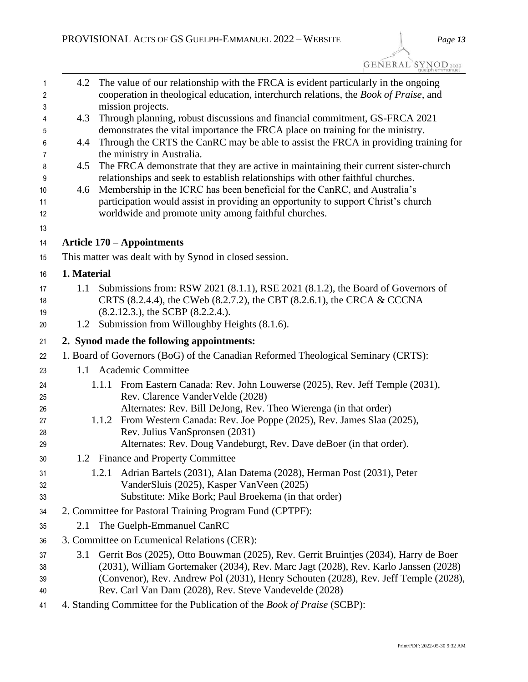GENERAL SYNOD<sub>2022</sub>

| 1<br>2   | 4.2         | The value of our relationship with the FRCA is evident particularly in the ongoing<br>cooperation in theological education, interchurch relations, the Book of Praise, and |
|----------|-------------|----------------------------------------------------------------------------------------------------------------------------------------------------------------------------|
| 3        |             | mission projects.                                                                                                                                                          |
| 4        | 4.3         | Through planning, robust discussions and financial commitment, GS-FRCA 2021                                                                                                |
| 5        |             | demonstrates the vital importance the FRCA place on training for the ministry.                                                                                             |
| 6        | 4.4         | Through the CRTS the CanRC may be able to assist the FRCA in providing training for                                                                                        |
| 7        | 4.5         | the ministry in Australia.<br>The FRCA demonstrate that they are active in maintaining their current sister-church                                                         |
| 8<br>9   |             | relationships and seek to establish relationships with other faithful churches.                                                                                            |
| 10       | 4.6         | Membership in the ICRC has been beneficial for the CanRC, and Australia's                                                                                                  |
| 11       |             | participation would assist in providing an opportunity to support Christ's church                                                                                          |
| 12       |             | worldwide and promote unity among faithful churches.                                                                                                                       |
| 13       |             |                                                                                                                                                                            |
| 14       |             | <b>Article 170 – Appointments</b>                                                                                                                                          |
| 15       |             | This matter was dealt with by Synod in closed session.                                                                                                                     |
| 16       | 1. Material |                                                                                                                                                                            |
| 17       | 1.1         | Submissions from: RSW 2021 (8.1.1), RSE 2021 (8.1.2), the Board of Governors of                                                                                            |
| 18       |             | CRTS (8.2.4.4), the CWeb (8.2.7.2), the CBT (8.2.6.1), the CRCA & CCCNA                                                                                                    |
| 19       |             | $(8.2.12.3.)$ , the SCBP $(8.2.2.4.)$ .                                                                                                                                    |
| 20       | 1.2         | Submission from Willoughby Heights (8.1.6).                                                                                                                                |
| 21       |             | 2. Synod made the following appointments:                                                                                                                                  |
| 22       |             | 1. Board of Governors (BoG) of the Canadian Reformed Theological Seminary (CRTS):                                                                                          |
| 23       |             | 1.1 Academic Committee                                                                                                                                                     |
| 24       |             | 1.1.1 From Eastern Canada: Rev. John Louwerse (2025), Rev. Jeff Temple (2031),                                                                                             |
| 25       |             | Rev. Clarence VanderVelde (2028)                                                                                                                                           |
| 26       |             | Alternates: Rev. Bill DeJong, Rev. Theo Wierenga (in that order)                                                                                                           |
| 27       |             | 1.1.2 From Western Canada: Rev. Joe Poppe (2025), Rev. James Slaa (2025),                                                                                                  |
| 28       |             | Rev. Julius VanSpronsen (2031)<br>Alternates: Rev. Doug Vandeburgt, Rev. Dave deBoer (in that order).                                                                      |
| 29       |             |                                                                                                                                                                            |
| 30       |             | 1.2 Finance and Property Committee                                                                                                                                         |
| 31<br>32 |             | 1.2.1 Adrian Bartels (2031), Alan Datema (2028), Herman Post (2031), Peter<br>VanderSluis (2025), Kasper VanVeen (2025)                                                    |
| 33       |             | Substitute: Mike Bork; Paul Broekema (in that order)                                                                                                                       |
| 34       |             | 2. Committee for Pastoral Training Program Fund (CPTPF):                                                                                                                   |
| 35       | 2.1         | The Guelph-Emmanuel CanRC                                                                                                                                                  |
| 36       |             | 3. Committee on Ecumenical Relations (CER):                                                                                                                                |
| 37       | 3.1         | Gerrit Bos (2025), Otto Bouwman (2025), Rev. Gerrit Bruintjes (2034), Harry de Boer                                                                                        |
| 38       |             | (2031), William Gortemaker (2034), Rev. Marc Jagt (2028), Rev. Karlo Janssen (2028)                                                                                        |
| 39       |             | (Convenor), Rev. Andrew Pol (2031), Henry Schouten (2028), Rev. Jeff Temple (2028),                                                                                        |
| 40       |             | Rev. Carl Van Dam (2028), Rev. Steve Vandevelde (2028)                                                                                                                     |
| 41       |             | 4. Standing Committee for the Publication of the Book of Praise (SCBP):                                                                                                    |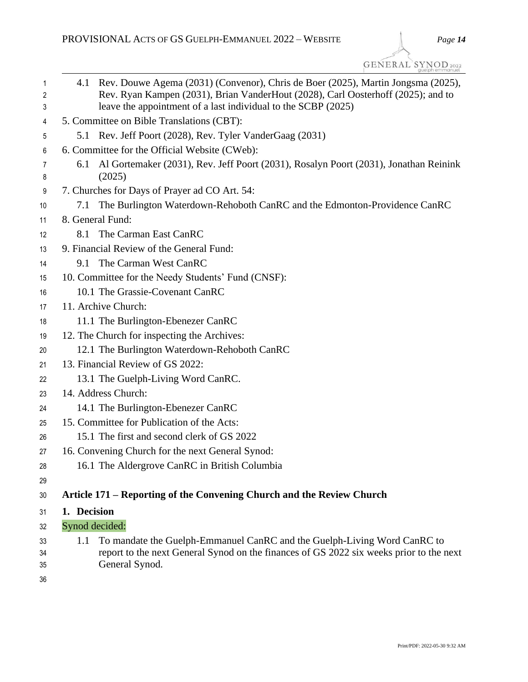GENERAL SYNOD<sub>2022</sub>

| 1<br>2<br>3 | Rev. Douwe Agema (2031) (Convenor), Chris de Boer (2025), Martin Jongsma (2025),<br>4.1<br>Rev. Ryan Kampen (2031), Brian VanderHout (2028), Carl Oosterhoff (2025); and to<br>leave the appointment of a last individual to the SCBP (2025) |
|-------------|----------------------------------------------------------------------------------------------------------------------------------------------------------------------------------------------------------------------------------------------|
| 4           | 5. Committee on Bible Translations (CBT):                                                                                                                                                                                                    |
| 5           | 5.1 Rev. Jeff Poort (2028), Rev. Tyler VanderGaag (2031)                                                                                                                                                                                     |
| 6           | 6. Committee for the Official Website (CWeb):                                                                                                                                                                                                |
| 7<br>8      | Al Gortemaker (2031), Rev. Jeff Poort (2031), Rosalyn Poort (2031), Jonathan Reinink<br>6.1<br>(2025)                                                                                                                                        |
| 9           | 7. Churches for Days of Prayer ad CO Art. 54:                                                                                                                                                                                                |
| 10          | The Burlington Waterdown-Rehoboth CanRC and the Edmonton-Providence CanRC<br>7.1                                                                                                                                                             |
| 11          | 8. General Fund:                                                                                                                                                                                                                             |
| 12          | The Carman East CanRC<br>8.1                                                                                                                                                                                                                 |
| 13          | 9. Financial Review of the General Fund:                                                                                                                                                                                                     |
| 14          | The Carman West CanRC<br>9.1                                                                                                                                                                                                                 |
| 15          | 10. Committee for the Needy Students' Fund (CNSF):                                                                                                                                                                                           |
| 16          | 10.1 The Grassie-Covenant CanRC                                                                                                                                                                                                              |
| 17          | 11. Archive Church:                                                                                                                                                                                                                          |
| 18          | 11.1 The Burlington-Ebenezer CanRC                                                                                                                                                                                                           |
| 19          | 12. The Church for inspecting the Archives:                                                                                                                                                                                                  |
| 20          | 12.1 The Burlington Waterdown-Rehoboth CanRC                                                                                                                                                                                                 |
| 21          | 13. Financial Review of GS 2022:                                                                                                                                                                                                             |
| 22          | 13.1 The Guelph-Living Word CanRC.                                                                                                                                                                                                           |
| 23          | 14. Address Church:                                                                                                                                                                                                                          |
| 24          | 14.1 The Burlington-Ebenezer CanRC                                                                                                                                                                                                           |
| 25          | 15. Committee for Publication of the Acts:                                                                                                                                                                                                   |
| 26          | 15.1 The first and second clerk of GS 2022                                                                                                                                                                                                   |
| 27          | 16. Convening Church for the next General Synod:                                                                                                                                                                                             |
| 28          | 16.1 The Aldergrove CanRC in British Columbia                                                                                                                                                                                                |
| 29          |                                                                                                                                                                                                                                              |
| 30          | Article 171 – Reporting of the Convening Church and the Review Church                                                                                                                                                                        |
| 31          | 1. Decision                                                                                                                                                                                                                                  |
| 32          | Synod decided:                                                                                                                                                                                                                               |
| 33          | To mandate the Guelph-Emmanuel CanRC and the Guelph-Living Word CanRC to<br>1.1                                                                                                                                                              |
| 34          | report to the next General Synod on the finances of GS 2022 six weeks prior to the next                                                                                                                                                      |
| 35          | General Synod.                                                                                                                                                                                                                               |
| 36          |                                                                                                                                                                                                                                              |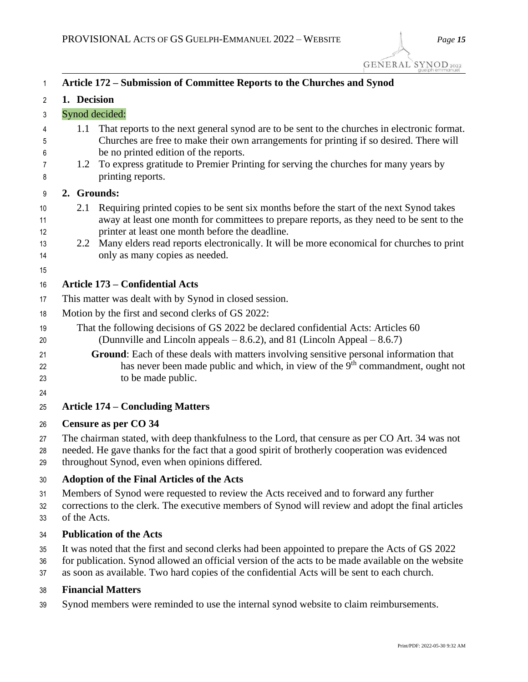GENERAL SYNOD 2022

| 1                          | Article 172 – Submission of Committee Reports to the Churches and Synod                                                                                                                                                                            |                                                                                                                                                                                                                                                                                                                                                                        |
|----------------------------|----------------------------------------------------------------------------------------------------------------------------------------------------------------------------------------------------------------------------------------------------|------------------------------------------------------------------------------------------------------------------------------------------------------------------------------------------------------------------------------------------------------------------------------------------------------------------------------------------------------------------------|
| 2                          | 1. Decision                                                                                                                                                                                                                                        |                                                                                                                                                                                                                                                                                                                                                                        |
| 3                          | Synod decided:                                                                                                                                                                                                                                     |                                                                                                                                                                                                                                                                                                                                                                        |
| 4<br>5                     | 1.1                                                                                                                                                                                                                                                | That reports to the next general synod are to be sent to the churches in electronic format.<br>Churches are free to make their own arrangements for printing if so desired. There will                                                                                                                                                                                 |
| 6<br>7<br>8                | 1.2<br>printing reports.                                                                                                                                                                                                                           | be no printed edition of the reports.<br>To express gratitude to Premier Printing for serving the churches for many years by                                                                                                                                                                                                                                           |
| 9                          | 2. Grounds:                                                                                                                                                                                                                                        |                                                                                                                                                                                                                                                                                                                                                                        |
| 10<br>11<br>12<br>13<br>14 | 2.1<br>2.2                                                                                                                                                                                                                                         | Requiring printed copies to be sent six months before the start of the next Synod takes<br>away at least one month for committees to prepare reports, as they need to be sent to the<br>printer at least one month before the deadline.<br>Many elders read reports electronically. It will be more economical for churches to print<br>only as many copies as needed. |
| 15                         | <b>Article 173 – Confidential Acts</b>                                                                                                                                                                                                             |                                                                                                                                                                                                                                                                                                                                                                        |
| 16                         | This matter was dealt with by Synod in closed session.                                                                                                                                                                                             |                                                                                                                                                                                                                                                                                                                                                                        |
| 17<br>18                   | Motion by the first and second clerks of GS 2022:                                                                                                                                                                                                  |                                                                                                                                                                                                                                                                                                                                                                        |
| 19<br>20                   | That the following decisions of GS 2022 be declared confidential Acts: Articles 60<br>(Dunnville and Lincoln appeals $-8.6.2$ ), and 81 (Lincoln Appeal $-8.6.7$ )                                                                                 |                                                                                                                                                                                                                                                                                                                                                                        |
| 21<br>22<br>23<br>24       | Ground: Each of these deals with matters involving sensitive personal information that<br>has never been made public and which, in view of the 9 <sup>th</sup> commandment, ought not<br>to be made public.                                        |                                                                                                                                                                                                                                                                                                                                                                        |
| 25                         | <b>Article 174 - Concluding Matters</b>                                                                                                                                                                                                            |                                                                                                                                                                                                                                                                                                                                                                        |
| 26                         | Censure as per CO 34                                                                                                                                                                                                                               |                                                                                                                                                                                                                                                                                                                                                                        |
| 27<br>28<br>29             | The chairman stated, with deep thankfulness to the Lord, that censure as per CO Art. 34 was not<br>needed. He gave thanks for the fact that a good spirit of brotherly cooperation was evidenced<br>throughout Synod, even when opinions differed. |                                                                                                                                                                                                                                                                                                                                                                        |
| 30                         | <b>Adoption of the Final Articles of the Acts</b>                                                                                                                                                                                                  |                                                                                                                                                                                                                                                                                                                                                                        |
| 31<br>32<br>33             | Members of Synod were requested to review the Acts received and to forward any further<br>corrections to the clerk. The executive members of Synod will review and adopt the final articles<br>of the Acts.                                        |                                                                                                                                                                                                                                                                                                                                                                        |
| 34                         | <b>Publication of the Acts</b>                                                                                                                                                                                                                     |                                                                                                                                                                                                                                                                                                                                                                        |
| 35                         |                                                                                                                                                                                                                                                    | It was noted that the first and second clerks had been appointed to prepare the Acts of GS 2022                                                                                                                                                                                                                                                                        |

- for publication. Synod allowed an official version of the acts to be made available on the website
- as soon as available. Two hard copies of the confidential Acts will be sent to each church.

# **Financial Matters**

Synod members were reminded to use the internal synod website to claim reimbursements.